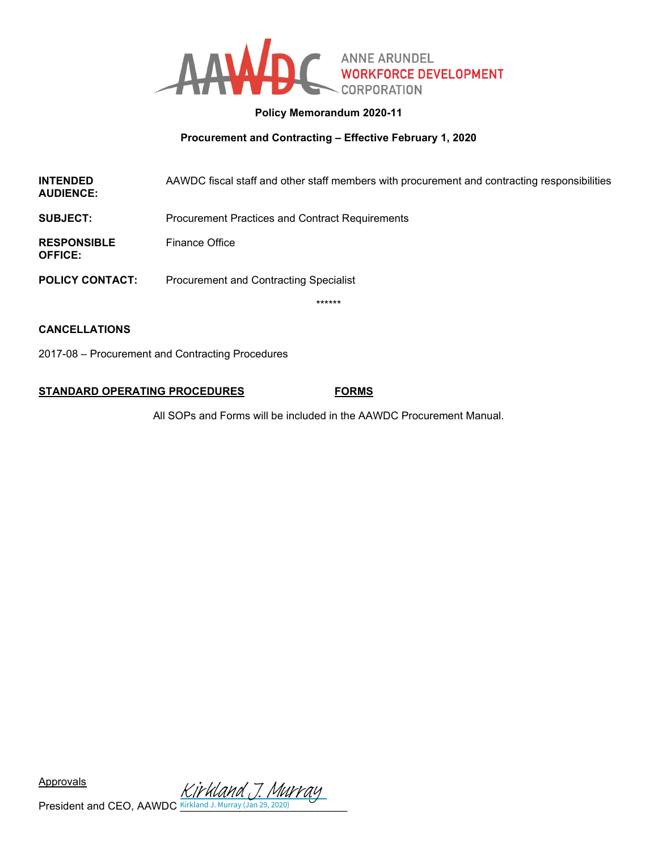

# **Policy Memorandum 2020-11**

# **Procurement and Contracting – Effective February 1, 2020**

| <b>INTENDED</b><br><b>AUDIENCE:</b>  | AAWDC fiscal staff and other staff members with procurement and contracting responsibilities |
|--------------------------------------|----------------------------------------------------------------------------------------------|
| <b>SUBJECT:</b>                      | <b>Procurement Practices and Contract Requirements</b>                                       |
| <b>RESPONSIBLE</b><br><b>OFFICE:</b> | <b>Finance Office</b>                                                                        |
| <b>POLICY CONTACT:</b>               | <b>Procurement and Contracting Specialist</b>                                                |

\*\*\*\*\*\*

# **CANCELLATIONS**

2017-08 – Procurement and Contracting Procedures

# **STANDARD OPERATING PROCEDURES FORMS**

All SOPs and Forms will be included in the AAWDC Procurement Manual.

Approvals

President and CEO, AAWDC **Kirkland J. Murray (Jan 29, 2020)** [Kirkland J. Murray](https://secure.na2.echosign.com/verifier?tx=CBJCHBCAABAAr1fl6iLEhrW8d6-9L7xXbapgU5VkD-OU)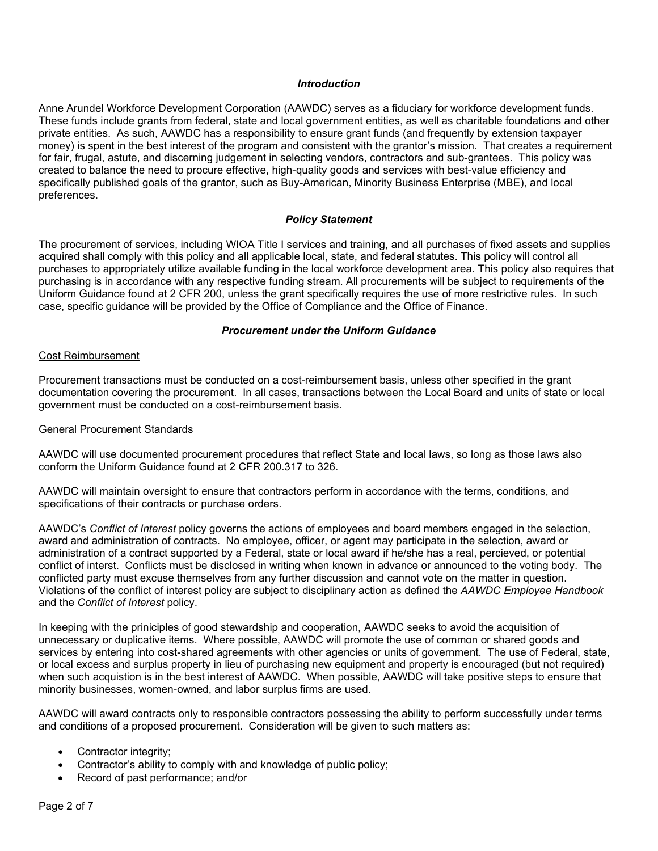### *Introduction*

Anne Arundel Workforce Development Corporation (AAWDC) serves as a fiduciary for workforce development funds. These funds include grants from federal, state and local government entities, as well as charitable foundations and other private entities. As such, AAWDC has a responsibility to ensure grant funds (and frequently by extension taxpayer money) is spent in the best interest of the program and consistent with the grantor's mission. That creates a requirement for fair, frugal, astute, and discerning judgement in selecting vendors, contractors and sub-grantees. This policy was created to balance the need to procure effective, high-quality goods and services with best-value efficiency and specifically published goals of the grantor, such as Buy-American, Minority Business Enterprise (MBE), and local preferences.

#### *Policy Statement*

The procurement of services, including WIOA Title I services and training, and all purchases of fixed assets and supplies acquired shall comply with this policy and all applicable local, state, and federal statutes. This policy will control all purchases to appropriately utilize available funding in the local workforce development area. This policy also requires that purchasing is in accordance with any respective funding stream. All procurements will be subject to requirements of the Uniform Guidance found at 2 CFR 200, unless the grant specifically requires the use of more restrictive rules. In such case, specific guidance will be provided by the Office of Compliance and the Office of Finance.

# *Procurement under the Uniform Guidance*

#### Cost Reimbursement

Procurement transactions must be conducted on a cost-reimbursement basis, unless other specified in the grant documentation covering the procurement. In all cases, transactions between the Local Board and units of state or local government must be conducted on a cost-reimbursement basis.

#### General Procurement Standards

AAWDC will use documented procurement procedures that reflect State and local laws, so long as those laws also conform the Uniform Guidance found at 2 CFR 200.317 to 326.

AAWDC will maintain oversight to ensure that contractors perform in accordance with the terms, conditions, and specifications of their contracts or purchase orders.

AAWDC's *Conflict of Interest* policy governs the actions of employees and board members engaged in the selection, award and administration of contracts. No employee, officer, or agent may participate in the selection, award or administration of a contract supported by a Federal, state or local award if he/she has a real, percieved, or potential conflict of interst. Conflicts must be disclosed in writing when known in advance or announced to the voting body. The conflicted party must excuse themselves from any further discussion and cannot vote on the matter in question. Violations of the conflict of interest policy are subject to disciplinary action as defined the *AAWDC Employee Handbook* and the *Conflict of Interest* policy.

In keeping with the priniciples of good stewardship and cooperation, AAWDC seeks to avoid the acquisition of unnecessary or duplicative items. Where possible, AAWDC will promote the use of common or shared goods and services by entering into cost-shared agreements with other agencies or units of government. The use of Federal, state, or local excess and surplus property in lieu of purchasing new equipment and property is encouraged (but not required) when such acquistion is in the best interest of AAWDC. When possible, AAWDC will take positive steps to ensure that minority businesses, women-owned, and labor surplus firms are used.

AAWDC will award contracts only to responsible contractors possessing the ability to perform successfully under terms and conditions of a proposed procurement. Consideration will be given to such matters as:

- Contractor integrity;
- Contractor's ability to comply with and knowledge of public policy;
- Record of past performance; and/or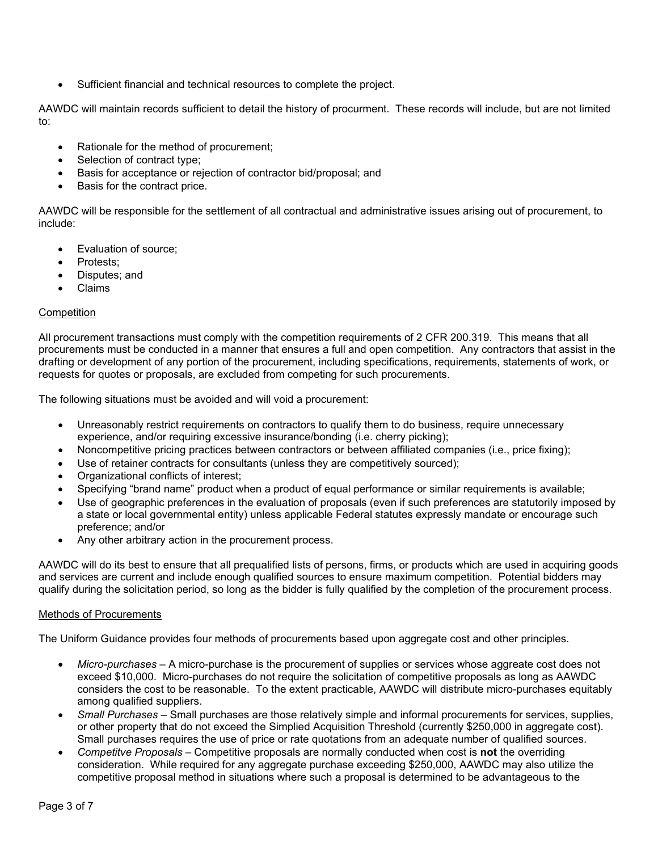• Sufficient financial and technical resources to complete the project.

AAWDC will maintain records sufficient to detail the history of procurment. These records will include, but are not limited to:

- Rationale for the method of procurement;
- Selection of contract type;
- Basis for acceptance or rejection of contractor bid/proposal; and
- Basis for the contract price.

AAWDC will be responsible for the settlement of all contractual and administrative issues arising out of procurement, to include:

- Evaluation of source;
- Protests:
- Disputes; and
- Claims

# **Competition**

All procurement transactions must comply with the competition requirements of 2 CFR 200.319. This means that all procurements must be conducted in a manner that ensures a full and open competition. Any contractors that assist in the drafting or development of any portion of the procurement, including specifications, requirements, statements of work, or requests for quotes or proposals, are excluded from competing for such procurements.

The following situations must be avoided and will void a procurement:

- Unreasonably restrict requirements on contractors to qualify them to do business, require unnecessary experience, and/or requiring excessive insurance/bonding (i.e. cherry picking);
- Noncompetitive pricing practices between contractors or between affiliated companies (i.e., price fixing);
- Use of retainer contracts for consultants (unless they are competitively sourced);
- Organizational conflicts of interest;
- Specifying "brand name" product when a product of equal performance or similar requirements is available;
- Use of geographic preferences in the evaluation of proposals (even if such preferences are statutorily imposed by a state or local governmental entity) unless applicable Federal statutes expressly mandate or encourage such preference; and/or
- Any other arbitrary action in the procurement process.

AAWDC will do its best to ensure that all prequalified lists of persons, firms, or products which are used in acquiring goods and services are current and include enough qualified sources to ensure maximum competition. Potential bidders may qualify during the solicitation period, so long as the bidder is fully qualified by the completion of the procurement process.

### Methods of Procurements

The Uniform Guidance provides four methods of procurements based upon aggregate cost and other principles.

- *Micro-purchases* A micro-purchase is the procurement of supplies or services whose aggreate cost does not exceed \$10,000. Micro-purchases do not require the solicitation of competitive proposals as long as AAWDC considers the cost to be reasonable. To the extent practicable, AAWDC will distribute micro-purchases equitably among qualified suppliers.
- *Small Purchases* Small purchases are those relatively simple and informal procurements for services, supplies, or other property that do not exceed the Simplied Acquisition Threshold (currently \$250,000 in aggregate cost). Small purchases requires the use of price or rate quotations from an adequate number of qualified sources.
- *Competitve Proposals* Competitive proposals are normally conducted when cost is **not** the overriding consideration. While required for any aggregate purchase exceeding \$250,000, AAWDC may also utilize the competitive proposal method in situations where such a proposal is determined to be advantageous to the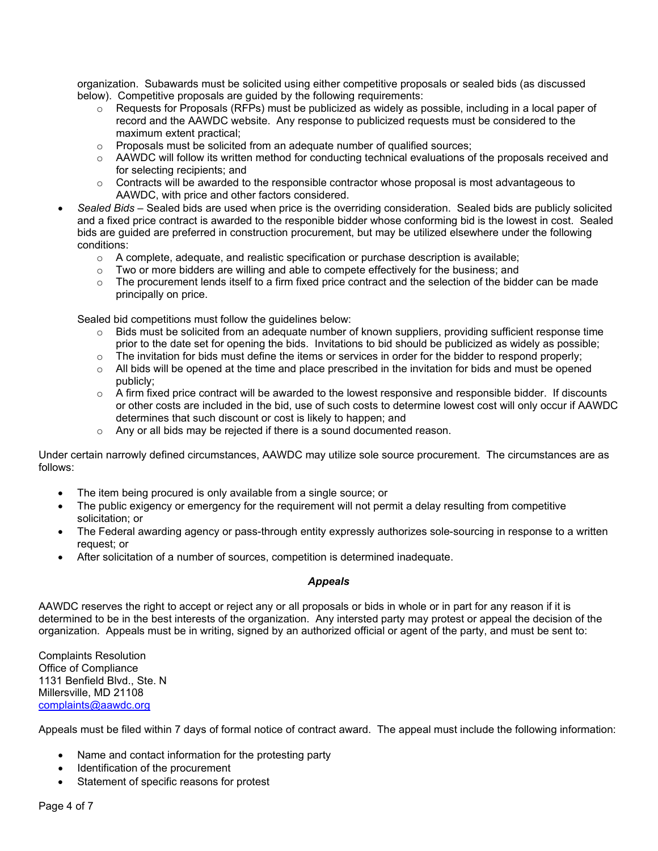organization. Subawards must be solicited using either competitive proposals or sealed bids (as discussed below). Competitive proposals are guided by the following requirements:

- $\circ$  Requests for Proposals (RFPs) must be publicized as widely as possible, including in a local paper of record and the AAWDC website. Any response to publicized requests must be considered to the maximum extent practical;
- $\circ$  Proposals must be solicited from an adequate number of qualified sources;
- o AAWDC will follow its written method for conducting technical evaluations of the proposals received and for selecting recipients; and
- $\circ$  Contracts will be awarded to the responsible contractor whose proposal is most advantageous to AAWDC, with price and other factors considered.
- *Sealed Bids* Sealed bids are used when price is the overriding consideration. Sealed bids are publicly solicited and a fixed price contract is awarded to the responible bidder whose conforming bid is the lowest in cost. Sealed bids are guided are preferred in construction procurement, but may be utilized elsewhere under the following conditions:
	- $\circ$  A complete, adequate, and realistic specification or purchase description is available;
	- $\circ$  Two or more bidders are willing and able to compete effectively for the business; and
	- $\circ$  The procurement lends itself to a firm fixed price contract and the selection of the bidder can be made principally on price.

Sealed bid competitions must follow the guidelines below:

- $\circ$  Bids must be solicited from an adequate number of known suppliers, providing sufficient response time prior to the date set for opening the bids. Invitations to bid should be publicized as widely as possible;
- $\circ$  The invitation for bids must define the items or services in order for the bidder to respond properly;
- $\circ$  All bids will be opened at the time and place prescribed in the invitation for bids and must be opened publicly;
- $\circ$  A firm fixed price contract will be awarded to the lowest responsive and responsible bidder. If discounts or other costs are included in the bid, use of such costs to determine lowest cost will only occur if AAWDC determines that such discount or cost is likely to happen; and
- o Any or all bids may be rejected if there is a sound documented reason.

Under certain narrowly defined circumstances, AAWDC may utilize sole source procurement. The circumstances are as follows:

- The item being procured is only available from a single source; or
- The public exigency or emergency for the requirement will not permit a delay resulting from competitive solicitation; or
- The Federal awarding agency or pass-through entity expressly authorizes sole-sourcing in response to a written request; or
- After solicitation of a number of sources, competition is determined inadequate.

### *Appeals*

AAWDC reserves the right to accept or reject any or all proposals or bids in whole or in part for any reason if it is determined to be in the best interests of the organization. Any intersted party may protest or appeal the decision of the organization. Appeals must be in writing, signed by an authorized official or agent of the party, and must be sent to:

Complaints Resolution Office of Compliance 1131 Benfield Blvd., Ste. N Millersville, MD 21108 [complaints@aawdc.org](mailto:complaints@aawdc.org)

Appeals must be filed within 7 days of formal notice of contract award. The appeal must include the following information:

- Name and contact information for the protesting party
- Identification of the procurement
- Statement of specific reasons for protest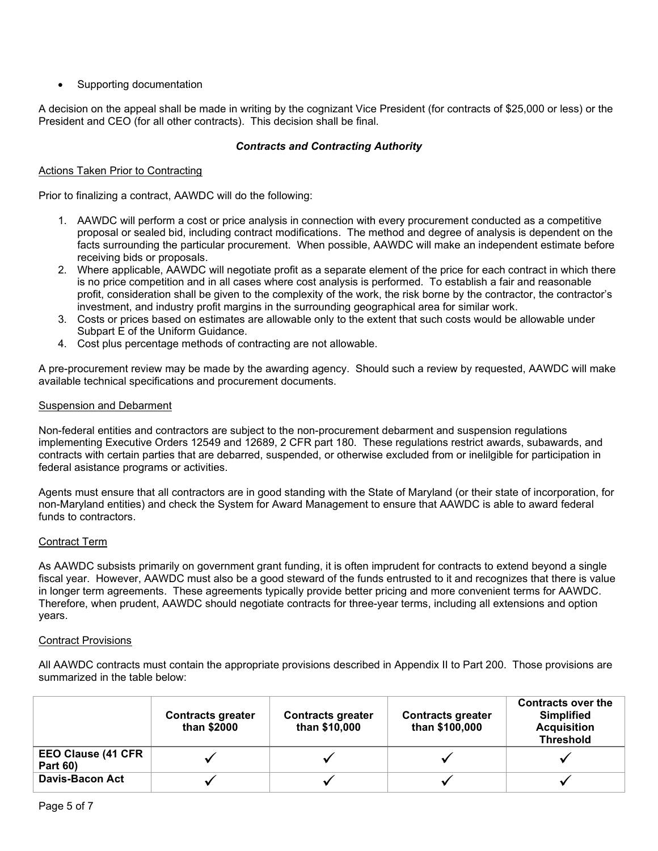• Supporting documentation

A decision on the appeal shall be made in writing by the cognizant Vice President (for contracts of \$25,000 or less) or the President and CEO (for all other contracts). This decision shall be final.

# *Contracts and Contracting Authority*

# Actions Taken Prior to Contracting

Prior to finalizing a contract, AAWDC will do the following:

- 1. AAWDC will perform a cost or price analysis in connection with every procurement conducted as a competitive proposal or sealed bid, including contract modifications. The method and degree of analysis is dependent on the facts surrounding the particular procurement. When possible, AAWDC will make an independent estimate before receiving bids or proposals.
- 2. Where applicable, AAWDC will negotiate profit as a separate element of the price for each contract in which there is no price competition and in all cases where cost analysis is performed. To establish a fair and reasonable profit, consideration shall be given to the complexity of the work, the risk borne by the contractor, the contractor's investment, and industry profit margins in the surrounding geographical area for similar work.
- 3. Costs or prices based on estimates are allowable only to the extent that such costs would be allowable under Subpart E of the Uniform Guidance.
- 4. Cost plus percentage methods of contracting are not allowable.

A pre-procurement review may be made by the awarding agency. Should such a review by requested, AAWDC will make available technical specifications and procurement documents.

### Suspension and Debarment

Non-federal entities and contractors are subject to the non-procurement debarment and suspension regulations implementing Executive Orders 12549 and 12689, 2 CFR part 180. These regulations restrict awards, subawards, and contracts with certain parties that are debarred, suspended, or otherwise excluded from or inelilgible for participation in federal asistance programs or activities.

Agents must ensure that all contractors are in good standing with the State of Maryland (or their state of incorporation, for non-Maryland entities) and check the System for Award Management to ensure that AAWDC is able to award federal funds to contractors.

### Contract Term

As AAWDC subsists primarily on government grant funding, it is often imprudent for contracts to extend beyond a single fiscal year. However, AAWDC must also be a good steward of the funds entrusted to it and recognizes that there is value in longer term agreements. These agreements typically provide better pricing and more convenient terms for AAWDC. Therefore, when prudent, AAWDC should negotiate contracts for three-year terms, including all extensions and option years.

### Contract Provisions

All AAWDC contracts must contain the appropriate provisions described in Appendix II to Part 200. Those provisions are summarized in the table below:

|                                              | <b>Contracts greater</b><br>than \$2000 | <b>Contracts greater</b><br>than \$10,000 | <b>Contracts greater</b><br>than \$100,000 | <b>Contracts over the</b><br><b>Simplified</b><br><b>Acquisition</b><br><b>Threshold</b> |
|----------------------------------------------|-----------------------------------------|-------------------------------------------|--------------------------------------------|------------------------------------------------------------------------------------------|
| <b>EEO Clause (41 CFR</b><br><b>Part 60)</b> |                                         |                                           |                                            |                                                                                          |
| <b>Davis-Bacon Act</b>                       |                                         |                                           |                                            |                                                                                          |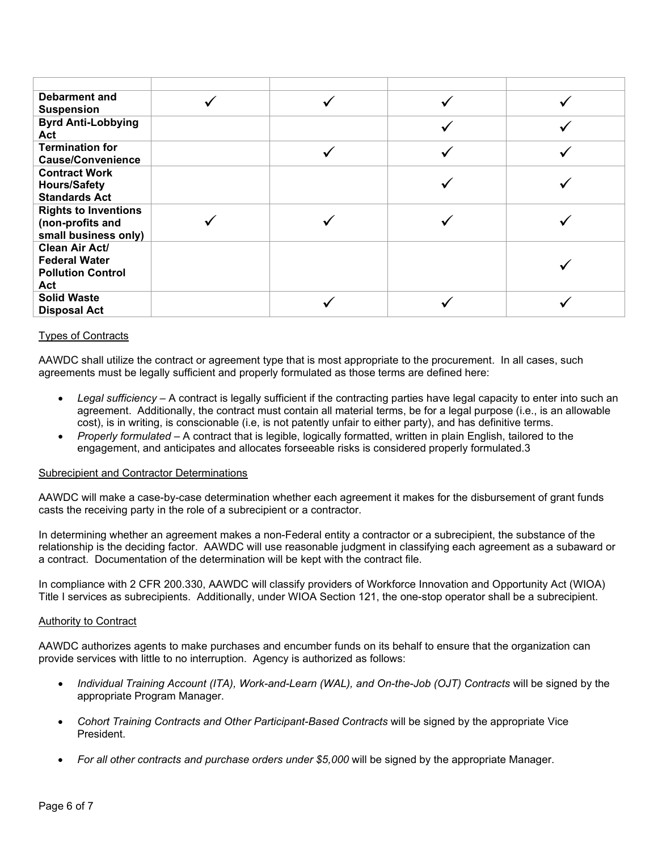| <b>Debarment and</b><br><b>Suspension</b>                                 |  |  |
|---------------------------------------------------------------------------|--|--|
| <b>Byrd Anti-Lobbying</b><br>Act                                          |  |  |
| <b>Termination for</b><br><b>Cause/Convenience</b>                        |  |  |
| <b>Contract Work</b><br><b>Hours/Safety</b><br><b>Standards Act</b>       |  |  |
| <b>Rights to Inventions</b><br>(non-profits and<br>small business only)   |  |  |
| Clean Air Act/<br><b>Federal Water</b><br><b>Pollution Control</b><br>Act |  |  |
| <b>Solid Waste</b><br><b>Disposal Act</b>                                 |  |  |

# Types of Contracts

AAWDC shall utilize the contract or agreement type that is most appropriate to the procurement. In all cases, such agreements must be legally sufficient and properly formulated as those terms are defined here:

- *Legal sufficiency* A contract is legally sufficient if the contracting parties have legal capacity to enter into such an agreement. Additionally, the contract must contain all material terms, be for a legal purpose (i.e., is an allowable cost), is in writing, is conscionable (i.e, is not patently unfair to either party), and has definitive terms.
- *Properly formulated* A contract that is legible, logically formatted, written in plain English, tailored to the engagement, and anticipates and allocates forseeable risks is considered properly formulated.3

### Subrecipient and Contractor Determinations

AAWDC will make a case-by-case determination whether each agreement it makes for the disbursement of grant funds casts the receiving party in the role of a subrecipient or a contractor.

In determining whether an agreement makes a non-Federal entity a contractor or a subrecipient, the substance of the relationship is the deciding factor. AAWDC will use reasonable judgment in classifying each agreement as a subaward or a contract. Documentation of the determination will be kept with the contract file.

In compliance with 2 CFR 200.330, AAWDC will classify providers of Workforce Innovation and Opportunity Act (WIOA) Title I services as subrecipients. Additionally, under WIOA Section 121, the one-stop operator shall be a subrecipient.

### Authority to Contract

AAWDC authorizes agents to make purchases and encumber funds on its behalf to ensure that the organization can provide services with little to no interruption. Agency is authorized as follows:

- *Individual Training Account (ITA), Work-and-Learn (WAL), and On-the-Job (OJT) Contracts* will be signed by the appropriate Program Manager.
- *Cohort Training Contracts and Other Participant-Based Contracts* will be signed by the appropriate Vice President.
- *For all other contracts and purchase orders under \$5,000* will be signed by the appropriate Manager.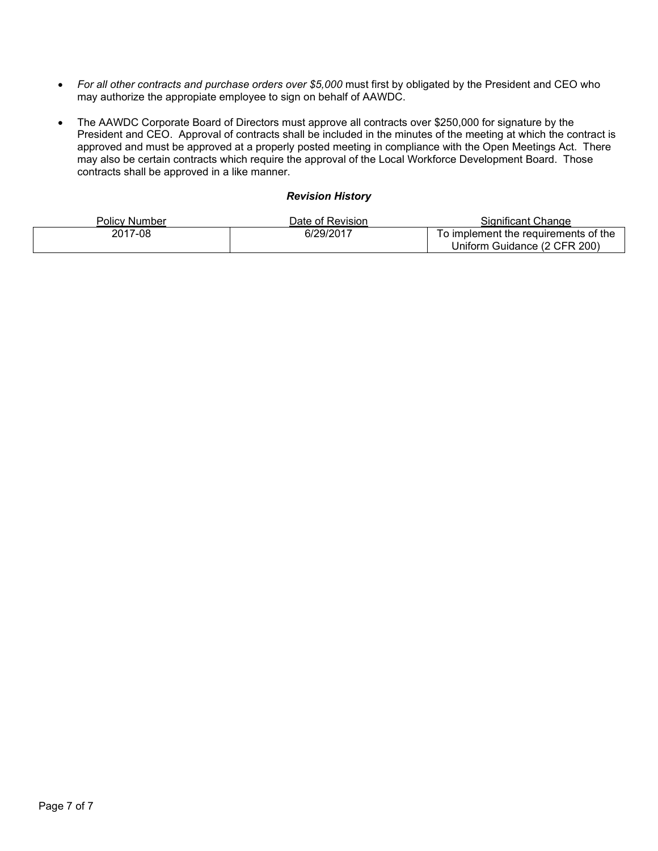- *For all other contracts and purchase orders over \$5,000* must first by obligated by the President and CEO who may authorize the appropiate employee to sign on behalf of AAWDC.
- The AAWDC Corporate Board of Directors must approve all contracts over \$250,000 for signature by the President and CEO. Approval of contracts shall be included in the minutes of the meeting at which the contract is approved and must be approved at a properly posted meeting in compliance with the Open Meetings Act. There may also be certain contracts which require the approval of the Local Workforce Development Board. Those contracts shall be approved in a like manner.

# *Revision History*

| Policv Number | Date of Revision | Sianificant Change                   |
|---------------|------------------|--------------------------------------|
| 2017-08       | 6/29/2017        | To implement the requirements of the |
|               |                  | Uniform Guidance (2 CFR 200)         |